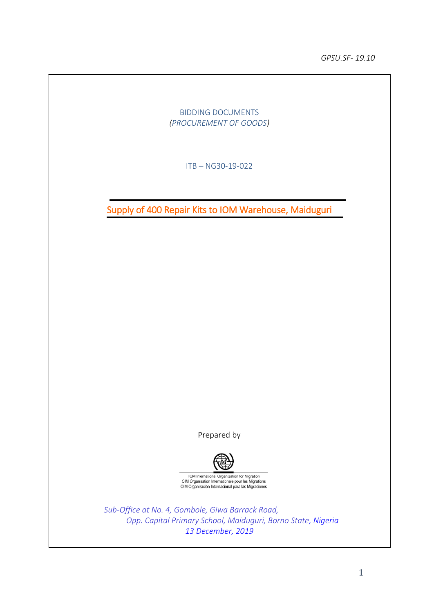*GPSU.SF- 19.10*

BIDDING DOCUMENTS *(PROCUREMENT OF GOODS)*

ITB – NG30-19-022

Supply of 400 Repair Kits to IOM Warehouse, Maiduguri

Prepared by



IOM International Organization for Migration<br>OIM Organisation Internationale pour les Migrations<br>OIM Organización Internacional para las Migraciones

*Sub-Office at No. 4, Gombole, Giwa Barrack Road, Opp. Capital Primary School, Maiduguri, Borno State, Nigeria 13 December, 2019*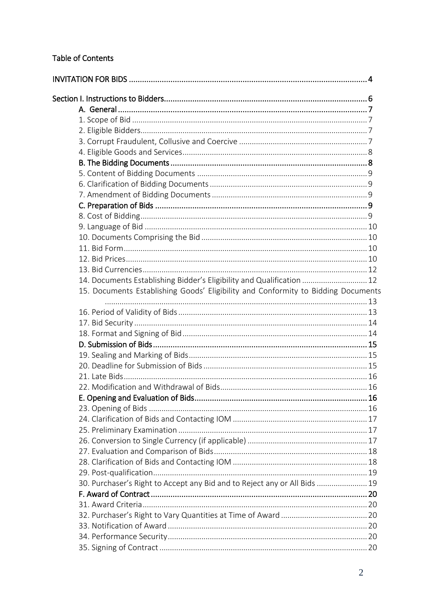## Table of Contents

| 14. Documents Establishing Bidder's Eligibility and Qualification  12             |  |
|-----------------------------------------------------------------------------------|--|
| 15. Documents Establishing Goods' Eligibility and Conformity to Bidding Documents |  |
|                                                                                   |  |
|                                                                                   |  |
|                                                                                   |  |
|                                                                                   |  |
|                                                                                   |  |
|                                                                                   |  |
|                                                                                   |  |
|                                                                                   |  |
|                                                                                   |  |
|                                                                                   |  |
|                                                                                   |  |
|                                                                                   |  |
|                                                                                   |  |
|                                                                                   |  |
|                                                                                   |  |
|                                                                                   |  |
| 30. Purchaser's Right to Accept any Bid and to Reject any or All Bids  19         |  |
|                                                                                   |  |
|                                                                                   |  |
|                                                                                   |  |
|                                                                                   |  |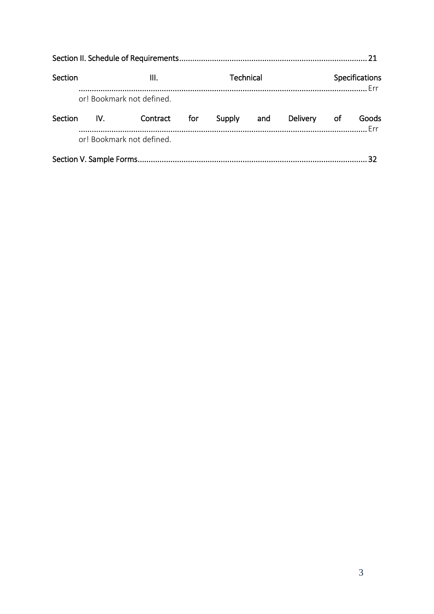| Section        |     | <b>Technical</b><br>Ш.    |     |        |     | Specifications |  |       |
|----------------|-----|---------------------------|-----|--------|-----|----------------|--|-------|
|                |     | or! Bookmark not defined. |     |        |     |                |  |       |
| <b>Section</b> | IV. | Contract                  | for | Supply | and | Delivery of    |  | Goods |
|                |     | or! Bookmark not defined. |     |        |     |                |  |       |
|                |     |                           |     |        |     |                |  |       |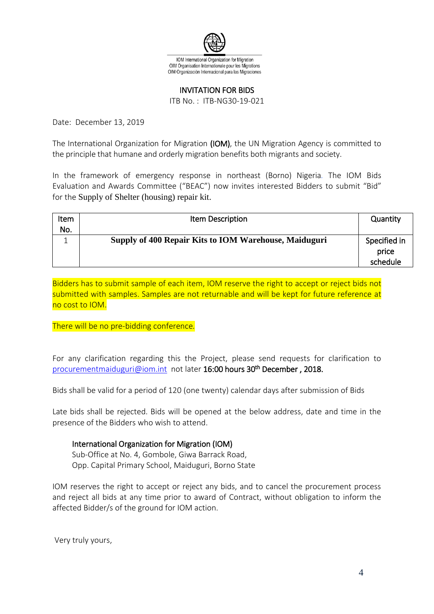

#### INVITATION FOR BIDS

ITB No. : ITB-NG30-19-021

<span id="page-3-0"></span>Date: December 13, 2019

The International Organization for Migration (IOM), the UN Migration Agency is committed to the principle that humane and orderly migration benefits both migrants and society.

In the framework of emergency response in northeast (Borno) Nigeria*.* The IOM Bids Evaluation and Awards Committee ("BEAC") now invites interested Bidders to submit "Bid" for the Supply of Shelter (housing) repair kit.

| Item | Item Description                                      | Quantity     |
|------|-------------------------------------------------------|--------------|
| No.  |                                                       |              |
|      | Supply of 400 Repair Kits to IOM Warehouse, Maiduguri | Specified in |
|      |                                                       | price        |
|      |                                                       | schedule     |

Bidders has to submit sample of each item, IOM reserve the right to accept or reject bids not submitted with samples. Samples are not returnable and will be kept for future reference at no cost to IOM.

There will be no pre-bidding conference*.*

For any clarification regarding this the Project, please send requests for clarification to [procurementmaiduguri@iom.int](mailto:procurementmaiduguri@iom.int) not later 16:00 hours 30<sup>th</sup> December, 2018.

Bids shall be valid for a period of 120 (one twenty) calendar days after submission of Bids

Late bids shall be rejected. Bids will be opened at the below address, date and time in the presence of the Bidders who wish to attend.

### International Organization for Migration (IOM)

Sub-Office at No. 4, Gombole, Giwa Barrack Road, Opp. Capital Primary School, Maiduguri, Borno State

IOM reserves the right to accept or reject any bids, and to cancel the procurement process and reject all bids at any time prior to award of Contract, without obligation to inform the affected Bidder/s of the ground for IOM action.

Very truly yours,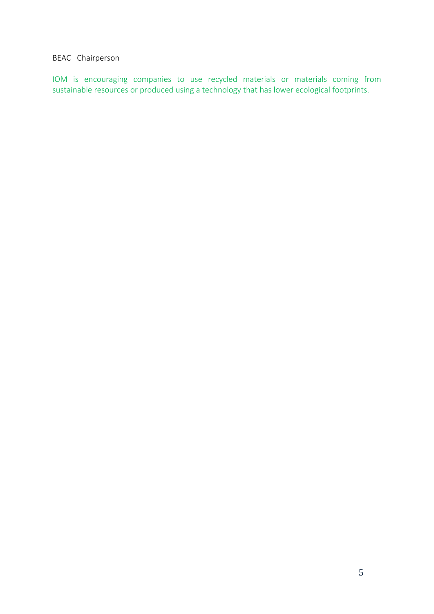### BEAC Chairperson

IOM is encouraging companies to use recycled materials or materials coming from sustainable resources or produced using a technology that has lower ecological footprints.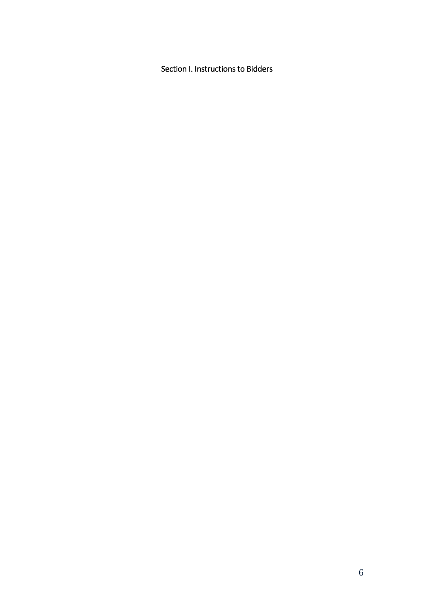<span id="page-5-0"></span>Section I. Instructions to Bidders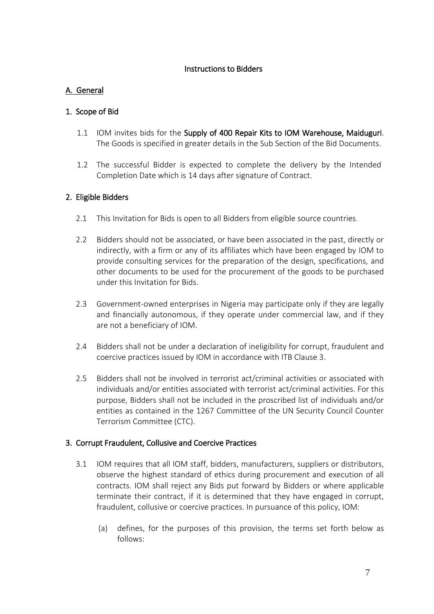## Instructions to Bidders

## <span id="page-6-0"></span>A. General

## <span id="page-6-1"></span>1. Scope of Bid

- 1.1 IOM invites bids for the Supply of 400 Repair Kits to IOM Warehouse, Maiduguri. The Goods is specified in greater details in the Sub Section of the Bid Documents.
- 1.2 The successful Bidder is expected to complete the delivery by the Intended Completion Date which is 14 days after signature of Contract.

## <span id="page-6-2"></span>2. Eligible Bidders

- 2.1 This Invitation for Bids is open to all Bidders from eligible source countries*.*
- 2.2 Bidders should not be associated, or have been associated in the past, directly or indirectly, with a firm or any of its affiliates which have been engaged by IOM to provide consulting services for the preparation of the design, specifications, and other documents to be used for the procurement of the goods to be purchased under this Invitation for Bids.
- 2.3 Government-owned enterprises in Nigeria may participate only if they are legally and financially autonomous, if they operate under commercial law, and if they are not a beneficiary of IOM.
- 2.4 Bidders shall not be under a declaration of ineligibility for corrupt, fraudulent and coercive practices issued by IOM in accordance with ITB Clause 3.
- 2.5 Bidders shall not be involved in terrorist act/criminal activities or associated with individuals and/or entities associated with terrorist act/criminal activities. For this purpose, Bidders shall not be included in the proscribed list of individuals and/or entities as contained in the 1267 Committee of the UN Security Council Counter Terrorism Committee (CTC).

## <span id="page-6-3"></span>3. Corrupt Fraudulent, Collusive and Coercive Practices

- 3.1 IOM requires that all IOM staff, bidders, manufacturers, suppliers or distributors, observe the highest standard of ethics during procurement and execution of all contracts. IOM shall reject any Bids put forward by Bidders or where applicable terminate their contract, if it is determined that they have engaged in corrupt, fraudulent, collusive or coercive practices. In pursuance of this policy, IOM:
	- (a) defines, for the purposes of this provision, the terms set forth below as follows: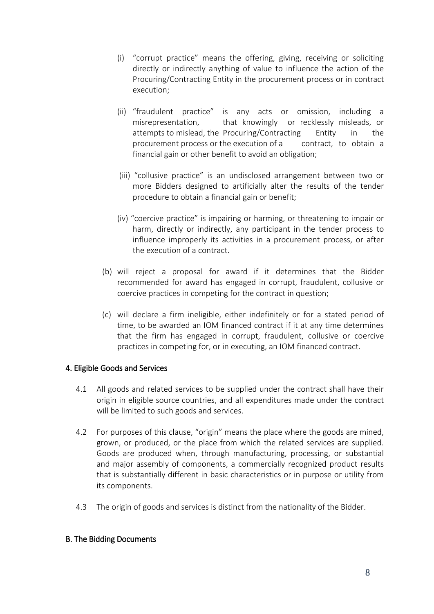- (i) "corrupt practice" means the offering, giving, receiving or soliciting directly or indirectly anything of value to influence the action of the Procuring/Contracting Entity in the procurement process or in contract execution;
- (ii) "fraudulent practice" is any acts or omission, including a misrepresentation, that knowingly or recklessly misleads, or attempts to mislead, the Procuring/Contracting Entity in the procurement process or the execution of a contract, to obtain a financial gain or other benefit to avoid an obligation;
- (iii) "collusive practice" is an undisclosed arrangement between two or more Bidders designed to artificially alter the results of the tender procedure to obtain a financial gain or benefit;
- (iv) "coercive practice" is impairing or harming, or threatening to impair or harm, directly or indirectly, any participant in the tender process to influence improperly its activities in a procurement process, or after the execution of a contract.
- (b) will reject a proposal for award if it determines that the Bidder recommended for award has engaged in corrupt, fraudulent, collusive or coercive practices in competing for the contract in question;
- (c) will declare a firm ineligible, either indefinitely or for a stated period of time, to be awarded an IOM financed contract if it at any time determines that the firm has engaged in corrupt, fraudulent, collusive or coercive practices in competing for, or in executing, an IOM financed contract.

## <span id="page-7-0"></span>4. Eligible Goods and Services

- 4.1 All goods and related services to be supplied under the contract shall have their origin in eligible source countries, and all expenditures made under the contract will be limited to such goods and services.
- 4.2 For purposes of this clause, "origin" means the place where the goods are mined, grown, or produced, or the place from which the related services are supplied. Goods are produced when, through manufacturing, processing, or substantial and major assembly of components, a commercially recognized product results that is substantially different in basic characteristics or in purpose or utility from its components.
- 4.3 The origin of goods and services is distinct from the nationality of the Bidder.

## <span id="page-7-1"></span>B. The Bidding Documents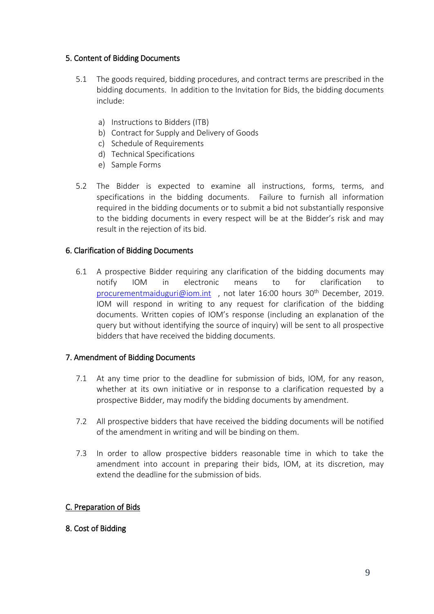## <span id="page-8-0"></span>5. Content of Bidding Documents

- 5.1 The goods required, bidding procedures, and contract terms are prescribed in the bidding documents. In addition to the Invitation for Bids, the bidding documents include:
	- a) Instructions to Bidders (ITB)
	- b) Contract for Supply and Delivery of Goods
	- c) Schedule of Requirements
	- d) Technical Specifications
	- e) Sample Forms
- 5.2 The Bidder is expected to examine all instructions, forms, terms, and specifications in the bidding documents. Failure to furnish all information required in the bidding documents or to submit a bid not substantially responsive to the bidding documents in every respect will be at the Bidder's risk and may result in the rejection of its bid.

## <span id="page-8-1"></span>6. Clarification of Bidding Documents

6.1 A prospective Bidder requiring any clarification of the bidding documents may notify IOM in electronic means to for clarification to [procurementmaiduguri@iom.int](mailto:procurementmaiduguri@iom.int), not later 16:00 hours 30<sup>th</sup> December, 2019. IOM will respond in writing to any request for clarification of the bidding documents. Written copies of IOM's response (including an explanation of the query but without identifying the source of inquiry) will be sent to all prospective bidders that have received the bidding documents.

## <span id="page-8-2"></span>7. Amendment of Bidding Documents

- 7.1 At any time prior to the deadline for submission of bids, IOM, for any reason, whether at its own initiative or in response to a clarification requested by a prospective Bidder, may modify the bidding documents by amendment.
- 7.2 All prospective bidders that have received the bidding documents will be notified of the amendment in writing and will be binding on them.
- 7.3 In order to allow prospective bidders reasonable time in which to take the amendment into account in preparing their bids, IOM, at its discretion, may extend the deadline for the submission of bids.

## <span id="page-8-3"></span>C. Preparation of Bids

## <span id="page-8-4"></span>8. Cost of Bidding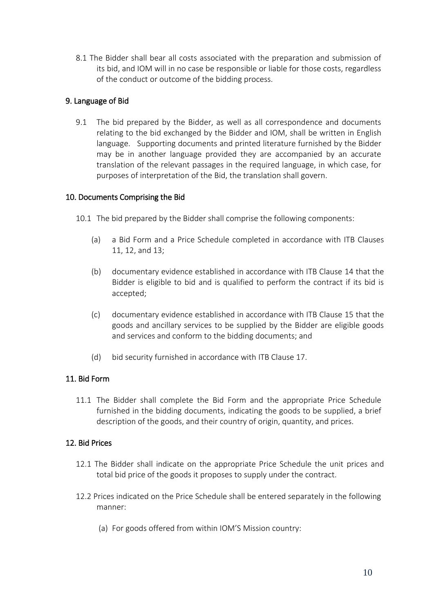8.1 The Bidder shall bear all costs associated with the preparation and submission of its bid, and IOM will in no case be responsible or liable for those costs, regardless of the conduct or outcome of the bidding process.

## <span id="page-9-0"></span>9. Language of Bid

9.1 The bid prepared by the Bidder, as well as all correspondence and documents relating to the bid exchanged by the Bidder and IOM, shall be written in English language. Supporting documents and printed literature furnished by the Bidder may be in another language provided they are accompanied by an accurate translation of the relevant passages in the required language, in which case, for purposes of interpretation of the Bid, the translation shall govern.

## <span id="page-9-1"></span>10. Documents Comprising the Bid

- 10.1 The bid prepared by the Bidder shall comprise the following components:
	- (a) a Bid Form and a Price Schedule completed in accordance with ITB Clauses 11, 12, and 13;
	- (b) documentary evidence established in accordance with ITB Clause 14 that the Bidder is eligible to bid and is qualified to perform the contract if its bid is accepted;
	- (c) documentary evidence established in accordance with ITB Clause 15 that the goods and ancillary services to be supplied by the Bidder are eligible goods and services and conform to the bidding documents; and
	- (d) bid security furnished in accordance with ITB Clause 17.

## <span id="page-9-2"></span>11. Bid Form

11.1 The Bidder shall complete the Bid Form and the appropriate Price Schedule furnished in the bidding documents, indicating the goods to be supplied, a brief description of the goods, and their country of origin, quantity, and prices.

## <span id="page-9-3"></span>12. Bid Prices

- 12.1 The Bidder shall indicate on the appropriate Price Schedule the unit prices and total bid price of the goods it proposes to supply under the contract.
- 12.2 Prices indicated on the Price Schedule shall be entered separately in the following manner:
	- (a) For goods offered from within IOM'S Mission country: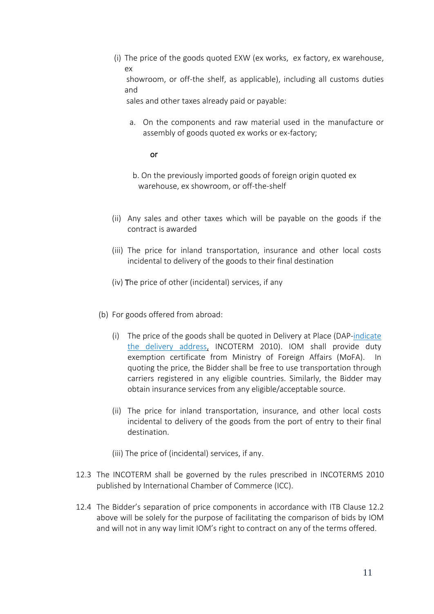(i) The price of the goods quoted EXW (ex works, ex factory, ex warehouse, ex showroom, or off-the shelf, as applicable), including all customs duties and

sales and other taxes already paid or payable:

a. On the components and raw material used in the manufacture or assembly of goods quoted ex works or ex-factory;

### or

- b. On the previously imported goods of foreign origin quoted ex warehouse, ex showroom, or off-the-shelf
- (ii) Any sales and other taxes which will be payable on the goods if the contract is awarded
- (iii) The price for inland transportation, insurance and other local costs incidental to delivery of the goods to their final destination
- (iv) The price of other (incidental) services, if any
- (b) For goods offered from abroad:
	- (i) The price of the goods shall be quoted in Delivery at Place (DAP-indicate the delivery address, INCOTERM 2010). IOM shall provide duty exemption certificate from Ministry of Foreign Affairs (MoFA). In quoting the price, the Bidder shall be free to use transportation through carriers registered in any eligible countries. Similarly, the Bidder may obtain insurance services from any eligible/acceptable source.
	- (ii) The price for inland transportation, insurance, and other local costs incidental to delivery of the goods from the port of entry to their final destination.
	- (iii) The price of (incidental) services, if any.
- 12.3 The INCOTERM shall be governed by the rules prescribed in INCOTERMS 2010 published by [International Chamber of Commerce](https://en.wikipedia.org/wiki/International_Chamber_of_Commerce) (ICC).
- 12.4 The Bidder's separation of price components in accordance with ITB Clause 12.2 above will be solely for the purpose of facilitating the comparison of bids by IOM and will not in any way limit IOM's right to contract on any of the terms offered.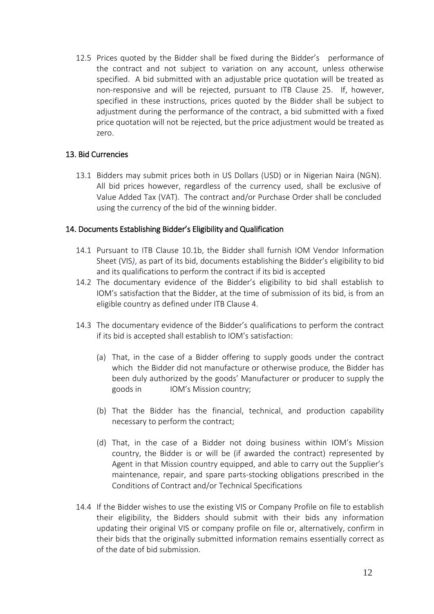12.5 Prices quoted by the Bidder shall be fixed during the Bidder's performance of the contract and not subject to variation on any account, unless otherwise specified. A bid submitted with an adjustable price quotation will be treated as non-responsive and will be rejected, pursuant to ITB Clause 25. If, however, specified in these instructions, prices quoted by the Bidder shall be subject to adjustment during the performance of the contract, a bid submitted with a fixed price quotation will not be rejected, but the price adjustment would be treated as zero.

## <span id="page-11-0"></span>13. Bid Currencies

13.1 Bidders may submit prices both in US Dollars (USD) or in Nigerian Naira (NGN). All bid prices however, regardless of the currency used, shall be exclusive of Value Added Tax (VAT). The contract and/or Purchase Order shall be concluded using the currency of the bid of the winning bidder.

## <span id="page-11-1"></span>14. Documents Establishing Bidder's Eligibility and Qualification

- 14.1 Pursuant to ITB Clause 10.1b, the Bidder shall furnish IOM Vendor Information Sheet (VIS*)*, as part of its bid, documents establishing the Bidder's eligibility to bid and its qualifications to perform the contract if its bid is accepted
- 14.2 The documentary evidence of the Bidder's eligibility to bid shall establish to IOM's satisfaction that the Bidder, at the time of submission of its bid, is from an eligible country as defined under ITB Clause 4.
- 14.3 The documentary evidence of the Bidder's qualifications to perform the contract if its bid is accepted shall establish to IOM's satisfaction:
	- (a) That, in the case of a Bidder offering to supply goods under the contract which the Bidder did not manufacture or otherwise produce, the Bidder has been duly authorized by the goods' Manufacturer or producer to supply the goods in IOM's Mission country;
	- (b) That the Bidder has the financial, technical, and production capability necessary to perform the contract;
	- (d) That, in the case of a Bidder not doing business within IOM's Mission country, the Bidder is or will be (if awarded the contract) represented by Agent in that Mission country equipped, and able to carry out the Supplier's maintenance, repair, and spare parts-stocking obligations prescribed in the Conditions of Contract and/or Technical Specifications
- 14.4 If the Bidder wishes to use the existing VIS or Company Profile on file to establish their eligibility, the Bidders should submit with their bids any information updating their original VIS or company profile on file or, alternatively, confirm in their bids that the originally submitted information remains essentially correct as of the date of bid submission.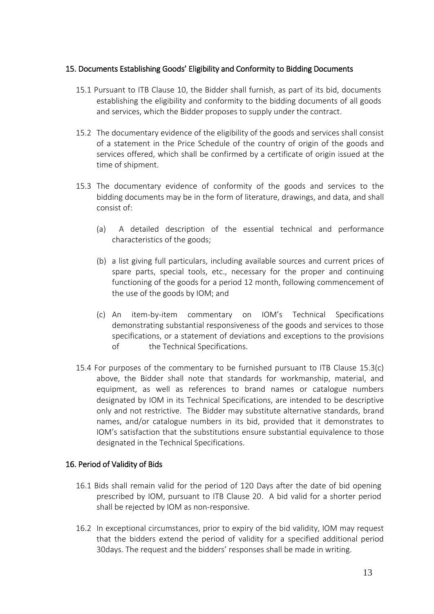### <span id="page-12-0"></span>15. Documents Establishing Goods' Eligibility and Conformity to Bidding Documents

- 15.1 Pursuant to ITB Clause 10, the Bidder shall furnish, as part of its bid, documents establishing the eligibility and conformity to the bidding documents of all goods and services, which the Bidder proposes to supply under the contract.
- 15.2 The documentary evidence of the eligibility of the goods and services shall consist of a statement in the Price Schedule of the country of origin of the goods and services offered, which shall be confirmed by a certificate of origin issued at the time of shipment.
- 15.3 The documentary evidence of conformity of the goods and services to the bidding documents may be in the form of literature, drawings, and data, and shall consist of:
	- (a) A detailed description of the essential technical and performance characteristics of the goods;
	- (b) a list giving full particulars, including available sources and current prices of spare parts, special tools, etc., necessary for the proper and continuing functioning of the goods for a period 12 month, following commencement of the use of the goods by IOM; and
	- (c) An item-by-item commentary on IOM's Technical Specifications demonstrating substantial responsiveness of the goods and services to those specifications, or a statement of deviations and exceptions to the provisions of the Technical Specifications.
- 15.4 For purposes of the commentary to be furnished pursuant to ITB Clause 15.3(c) above, the Bidder shall note that standards for workmanship, material, and equipment, as well as references to brand names or catalogue numbers designated by IOM in its Technical Specifications, are intended to be descriptive only and not restrictive. The Bidder may substitute alternative standards, brand names, and/or catalogue numbers in its bid, provided that it demonstrates to IOM's satisfaction that the substitutions ensure substantial equivalence to those designated in the Technical Specifications.

### <span id="page-12-1"></span>16. Period of Validity of Bids

- 16.1 Bids shall remain valid for the period of 120 Days after the date of bid opening prescribed by IOM, pursuant to ITB Clause 20. A bid valid for a shorter period shall be rejected by IOM as non-responsive.
- 16.2 In exceptional circumstances, prior to expiry of the bid validity, IOM may request that the bidders extend the period of validity for a specified additional period 30days. The request and the bidders' responses shall be made in writing.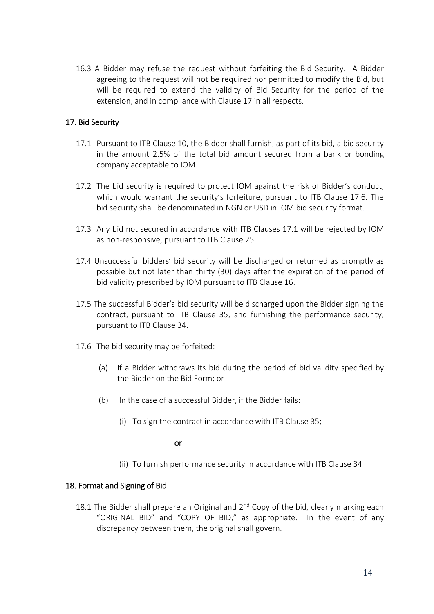16.3 A Bidder may refuse the request without forfeiting the Bid Security. A Bidder agreeing to the request will not be required nor permitted to modify the Bid, but will be required to extend the validity of Bid Security for the period of the extension, and in compliance with Clause 17 in all respects.

## <span id="page-13-0"></span>17. Bid Security

- 17.1 Pursuant to ITB Clause 10, the Bidder shall furnish, as part of its bid, a bid security in the amount 2.5% of the total bid amount secured from a bank or bonding company acceptable to IOM*.*
- 17.2 The bid security is required to protect IOM against the risk of Bidder's conduct, which would warrant the security's forfeiture, pursuant to ITB Clause 17.6. The bid security shall be denominated in NGN or USD in IOM bid security format*.*
- 17.3 Any bid not secured in accordance with ITB Clauses 17.1 will be rejected by IOM as non-responsive, pursuant to ITB Clause 25.
- 17.4 Unsuccessful bidders' bid security will be discharged or returned as promptly as possible but not later than thirty (30) days after the expiration of the period of bid validity prescribed by IOM pursuant to ITB Clause 16.
- 17.5 The successful Bidder's bid security will be discharged upon the Bidder signing the contract, pursuant to ITB Clause 35, and furnishing the performance security, pursuant to ITB Clause 34.
- 17.6 The bid security may be forfeited:
	- (a) If a Bidder withdraws its bid during the period of bid validity specified by the Bidder on the Bid Form; or
	- (b) In the case of a successful Bidder, if the Bidder fails:
		- (i) To sign the contract in accordance with ITB Clause 35;

### or

(ii) To furnish performance security in accordance with ITB Clause 34

## <span id="page-13-1"></span>18. Format and Signing of Bid

18.1 The Bidder shall prepare an Original and  $2<sup>nd</sup>$  Copy of the bid, clearly marking each "ORIGINAL BID" and "COPY OF BID," as appropriate. In the event of any discrepancy between them, the original shall govern.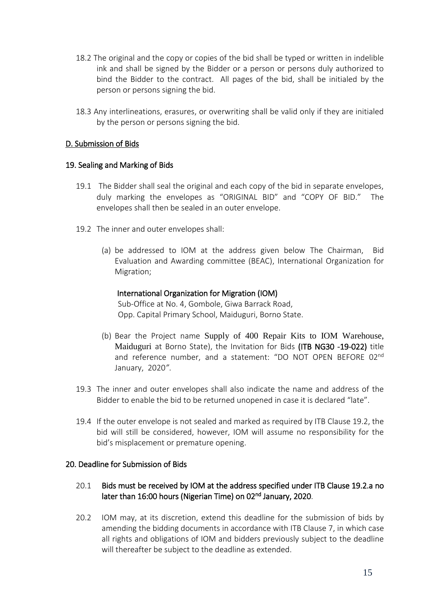- 18.2 The original and the copy or copies of the bid shall be typed or written in indelible ink and shall be signed by the Bidder or a person or persons duly authorized to bind the Bidder to the contract. All pages of the bid, shall be initialed by the person or persons signing the bid.
- 18.3 Any interlineations, erasures, or overwriting shall be valid only if they are initialed by the person or persons signing the bid.

### <span id="page-14-0"></span>D. Submission of Bids

### <span id="page-14-1"></span>19. Sealing and Marking of Bids

- 19.1 The Bidder shall seal the original and each copy of the bid in separate envelopes, duly marking the envelopes as "ORIGINAL BID" and "COPY OF BID." The envelopes shall then be sealed in an outer envelope.
- 19.2 The inner and outer envelopes shall:
	- (a) be addressed to IOM at the address given below The Chairman, Bid Evaluation and Awarding committee (BEAC), International Organization for Migration;

### International Organization for Migration (IOM)

Sub-Office at No. 4, Gombole, Giwa Barrack Road, Opp. Capital Primary School, Maiduguri, Borno State.

- (b) Bear the Project name Supply of 400 Repair Kits to IOM Warehouse, Maiduguri at Borno State), the Invitation for Bids (ITB NG30 -19-022) title and reference number, and a statement: "DO NOT OPEN BEFORE 02nd January, 2020*"*.
- 19.3 The inner and outer envelopes shall also indicate the name and address of the Bidder to enable the bid to be returned unopened in case it is declared "late".
- 19.4 If the outer envelope is not sealed and marked as required by ITB Clause 19.2, the bid will still be considered, however, IOM will assume no responsibility for the bid's misplacement or premature opening.

## <span id="page-14-2"></span>20. Deadline for Submission of Bids

## 20.1 Bids must be received by IOM at the address specified under ITB Clause 19.2.a no later than 16:00 hours (Nigerian Time) on 02<sup>nd</sup> January, 2020.

20.2 IOM may, at its discretion, extend this deadline for the submission of bids by amending the bidding documents in accordance with ITB Clause 7, in which case all rights and obligations of IOM and bidders previously subject to the deadline will thereafter be subject to the deadline as extended.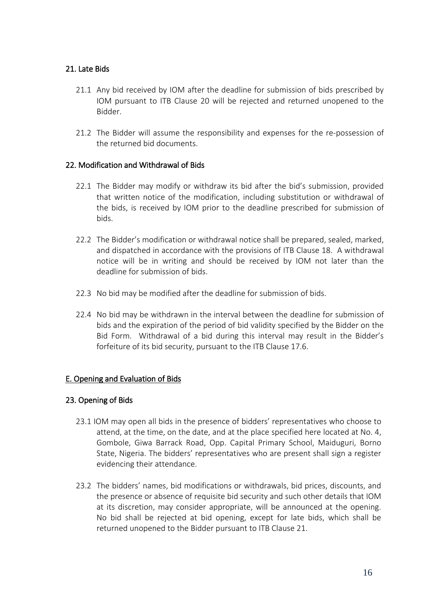## <span id="page-15-0"></span>21. Late Bids

- 21.1 Any bid received by IOM after the deadline for submission of bids prescribed by IOM pursuant to ITB Clause 20 will be rejected and returned unopened to the Bidder.
- 21.2 The Bidder will assume the responsibility and expenses for the re-possession of the returned bid documents.

### <span id="page-15-1"></span>22. Modification and Withdrawal of Bids

- 22.1 The Bidder may modify or withdraw its bid after the bid's submission, provided that written notice of the modification, including substitution or withdrawal of the bids, is received by IOM prior to the deadline prescribed for submission of bids.
- 22.2 The Bidder's modification or withdrawal notice shall be prepared, sealed, marked, and dispatched in accordance with the provisions of ITB Clause 18. A withdrawal notice will be in writing and should be received by IOM not later than the deadline for submission of bids.
- 22.3 No bid may be modified after the deadline for submission of bids.
- 22.4 No bid may be withdrawn in the interval between the deadline for submission of bids and the expiration of the period of bid validity specified by the Bidder on the Bid Form. Withdrawal of a bid during this interval may result in the Bidder's forfeiture of its bid security, pursuant to the ITB Clause 17.6.

## <span id="page-15-2"></span>E. Opening and Evaluation of Bids

## <span id="page-15-3"></span>23. Opening of Bids

- 23.1 IOM may open all bids in the presence of bidders' representatives who choose to attend, at the time, on the date, and at the place specified here located at No. 4, Gombole, Giwa Barrack Road, Opp. Capital Primary School, Maiduguri, Borno State, Nigeria. The bidders' representatives who are present shall sign a register evidencing their attendance.
- 23.2 The bidders' names, bid modifications or withdrawals, bid prices, discounts, and the presence or absence of requisite bid security and such other details that IOM at its discretion, may consider appropriate, will be announced at the opening. No bid shall be rejected at bid opening, except for late bids, which shall be returned unopened to the Bidder pursuant to ITB Clause 21.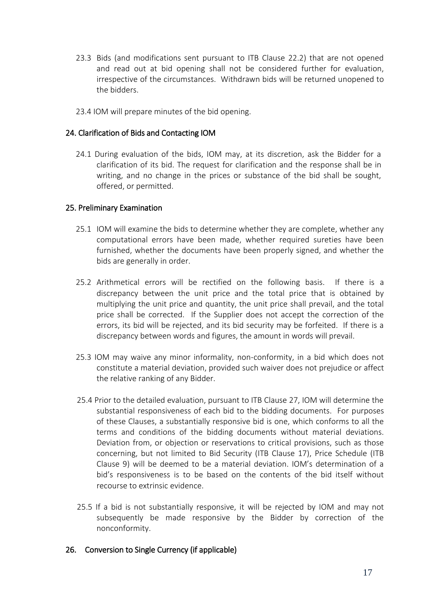- 23.3 Bids (and modifications sent pursuant to ITB Clause 22.2) that are not opened and read out at bid opening shall not be considered further for evaluation, irrespective of the circumstances. Withdrawn bids will be returned unopened to the bidders.
- 23.4 IOM will prepare minutes of the bid opening.

### <span id="page-16-0"></span>24. Clarification of Bids and Contacting IOM

24.1 During evaluation of the bids, IOM may, at its discretion, ask the Bidder for a clarification of its bid. The request for clarification and the response shall be in writing, and no change in the prices or substance of the bid shall be sought, offered, or permitted.

### <span id="page-16-1"></span>25. Preliminary Examination

- 25.1 IOM will examine the bids to determine whether they are complete, whether any computational errors have been made, whether required sureties have been furnished, whether the documents have been properly signed, and whether the bids are generally in order.
- 25.2 Arithmetical errors will be rectified on the following basis. If there is a discrepancy between the unit price and the total price that is obtained by multiplying the unit price and quantity, the unit price shall prevail, and the total price shall be corrected. If the Supplier does not accept the correction of the errors, its bid will be rejected, and its bid security may be forfeited. If there is a discrepancy between words and figures, the amount in words will prevail.
- 25.3 IOM may waive any minor informality, non-conformity, in a bid which does not constitute a material deviation, provided such waiver does not prejudice or affect the relative ranking of any Bidder.
- 25.4 Prior to the detailed evaluation, pursuant to ITB Clause 27, IOM will determine the substantial responsiveness of each bid to the bidding documents. For purposes of these Clauses, a substantially responsive bid is one, which conforms to all the terms and conditions of the bidding documents without material deviations. Deviation from, or objection or reservations to critical provisions, such as those concerning, but not limited to Bid Security (ITB Clause 17), Price Schedule (ITB Clause 9) will be deemed to be a material deviation. IOM's determination of a bid's responsiveness is to be based on the contents of the bid itself without recourse to extrinsic evidence.
- 25.5 If a bid is not substantially responsive, it will be rejected by IOM and may not subsequently be made responsive by the Bidder by correction of the nonconformity.

### <span id="page-16-2"></span>26. Conversion to Single Currency (if applicable)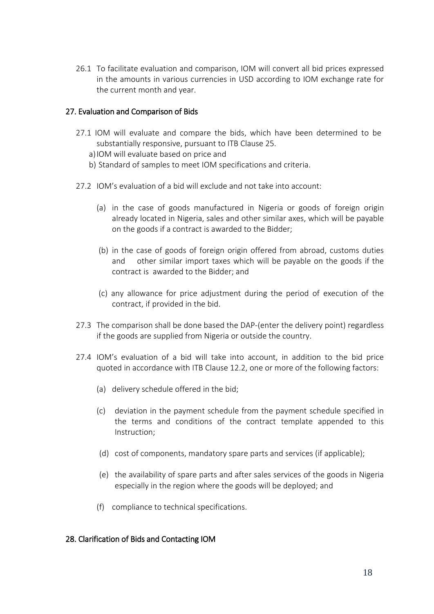26.1 To facilitate evaluation and comparison, IOM will convert all bid prices expressed in the amounts in various currencies in USD according to IOM exchange rate for the current month and year.

## <span id="page-17-0"></span>27. Evaluation and Comparison of Bids

- 27.1 IOM will evaluate and compare the bids, which have been determined to be substantially responsive, pursuant to ITB Clause 25.
	- a) IOM will evaluate based on price and
	- b) Standard of samples to meet IOM specifications and criteria.
- 27.2 IOM's evaluation of a bid will exclude and not take into account:
	- (a) in the case of goods manufactured in Nigeria or goods of foreign origin already located in Nigeria, sales and other similar axes, which will be payable on the goods if a contract is awarded to the Bidder;
	- (b) in the case of goods of foreign origin offered from abroad, customs duties and other similar import taxes which will be payable on the goods if the contract is awarded to the Bidder; and
	- (c) any allowance for price adjustment during the period of execution of the contract, if provided in the bid.
- 27.3 The comparison shall be done based the DAP-(enter the delivery point) regardless if the goods are supplied from Nigeria or outside the country.
- 27.4 IOM's evaluation of a bid will take into account, in addition to the bid price quoted in accordance with ITB Clause 12.2, one or more of the following factors:
	- (a) delivery schedule offered in the bid;
	- (c) deviation in the payment schedule from the payment schedule specified in the terms and conditions of the contract template appended to this Instruction;
	- (d) cost of components, mandatory spare parts and services (if applicable);
	- (e) the availability of spare parts and after sales services of the goods in Nigeria especially in the region where the goods will be deployed; and
	- (f) compliance to technical specifications.

## <span id="page-17-1"></span>28. Clarification of Bids and Contacting IOM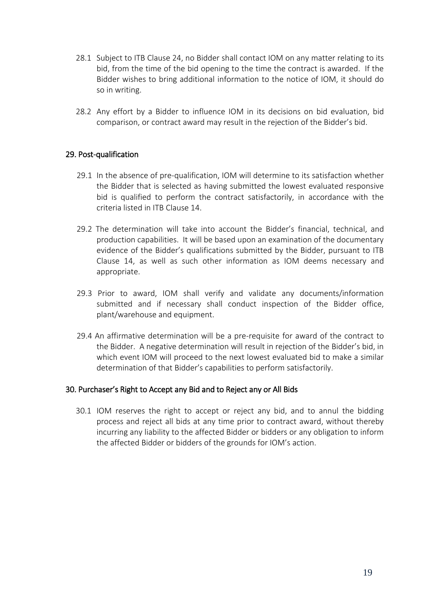- 28.1 Subject to ITB Clause 24, no Bidder shall contact IOM on any matter relating to its bid, from the time of the bid opening to the time the contract is awarded. If the Bidder wishes to bring additional information to the notice of IOM, it should do so in writing.
- 28.2 Any effort by a Bidder to influence IOM in its decisions on bid evaluation, bid comparison, or contract award may result in the rejection of the Bidder's bid.

## <span id="page-18-0"></span>29. Post-qualification

- 29.1 In the absence of pre-qualification, IOM will determine to its satisfaction whether the Bidder that is selected as having submitted the lowest evaluated responsive bid is qualified to perform the contract satisfactorily, in accordance with the criteria listed in ITB Clause 14.
- 29.2 The determination will take into account the Bidder's financial, technical, and production capabilities. It will be based upon an examination of the documentary evidence of the Bidder's qualifications submitted by the Bidder, pursuant to ITB Clause 14, as well as such other information as IOM deems necessary and appropriate.
- 29.3 Prior to award, IOM shall verify and validate any documents/information submitted and if necessary shall conduct inspection of the Bidder office, plant/warehouse and equipment.
- 29.4 An affirmative determination will be a pre-requisite for award of the contract to the Bidder. A negative determination will result in rejection of the Bidder's bid, in which event IOM will proceed to the next lowest evaluated bid to make a similar determination of that Bidder's capabilities to perform satisfactorily.

### <span id="page-18-1"></span>30. Purchaser's Right to Accept any Bid and to Reject any or All Bids

<span id="page-18-2"></span>30.1 IOM reserves the right to accept or reject any bid, and to annul the bidding process and reject all bids at any time prior to contract award, without thereby incurring any liability to the affected Bidder or bidders or any obligation to inform the affected Bidder or bidders of the grounds for IOM's action.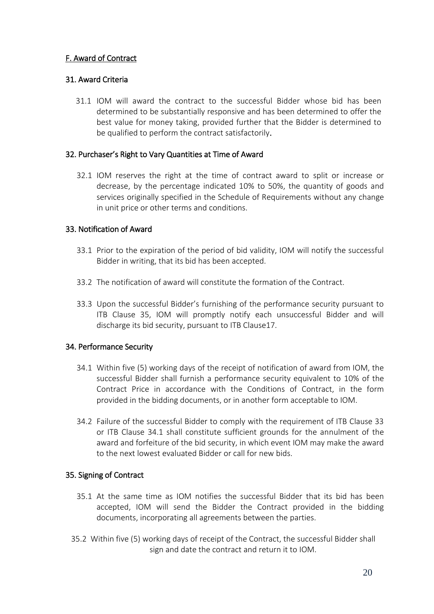## F. Award of Contract

## <span id="page-19-0"></span>31. Award Criteria

31.1 IOM will award the contract to the successful Bidder whose bid has been determined to be substantially responsive and has been determined to offer the best value for money taking, provided further that the Bidder is determined to be qualified to perform the contract satisfactorily.

## <span id="page-19-1"></span>32. Purchaser's Right to Vary Quantities at Time of Award

32.1 IOM reserves the right at the time of contract award to split or increase or decrease, by the percentage indicated 10% to 50%, the quantity of goods and services originally specified in the Schedule of Requirements without any change in unit price or other terms and conditions.

## <span id="page-19-2"></span>33. Notification of Award

- 33.1 Prior to the expiration of the period of bid validity, IOM will notify the successful Bidder in writing, that its bid has been accepted.
- 33.2 The notification of award will constitute the formation of the Contract.
- 33.3 Upon the successful Bidder's furnishing of the performance security pursuant to ITB Clause 35, IOM will promptly notify each unsuccessful Bidder and will discharge its bid security, pursuant to ITB Clause17.

## <span id="page-19-3"></span>34. Performance Security

- 34.1 Within five (5) working days of the receipt of notification of award from IOM, the successful Bidder shall furnish a performance security equivalent to 10% of the Contract Price in accordance with the Conditions of Contract, in the form provided in the bidding documents, or in another form acceptable to IOM.
- 34.2 Failure of the successful Bidder to comply with the requirement of ITB Clause 33 or ITB Clause 34.1 shall constitute sufficient grounds for the annulment of the award and forfeiture of the bid security, in which event IOM may make the award to the next lowest evaluated Bidder or call for new bids.

## <span id="page-19-4"></span>35. Signing of Contract

- 35.1 At the same time as IOM notifies the successful Bidder that its bid has been accepted, IOM will send the Bidder the Contract provided in the bidding documents, incorporating all agreements between the parties.
- 35.2 Within five (5) working days of receipt of the Contract, the successful Bidder shall sign and date the contract and return it to IOM.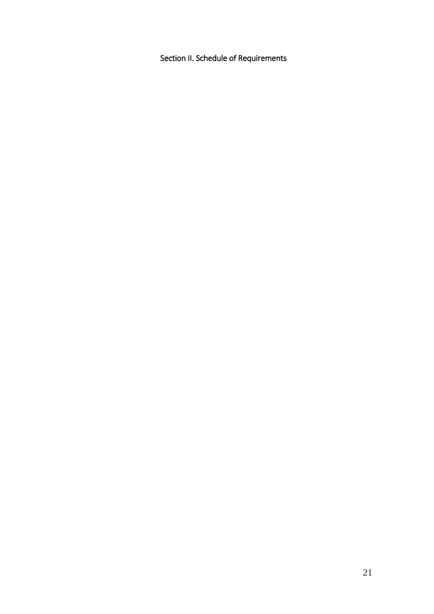<span id="page-20-0"></span>Section II. Schedule of Requirements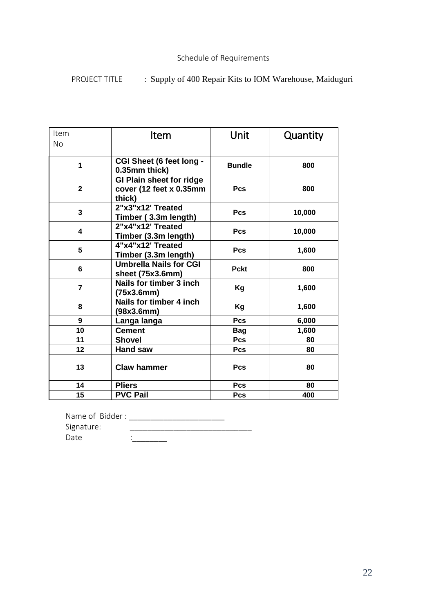## Schedule of Requirements

# PROJECT TITLE : Supply of 400 Repair Kits to IOM Warehouse, Maiduguri

| Item           | <b>Item</b>                                                          | Unit          | Quantity |
|----------------|----------------------------------------------------------------------|---------------|----------|
| <b>No</b>      |                                                                      |               |          |
| 1              | CGI Sheet (6 feet long -<br>0.35mm thick)                            | <b>Bundle</b> | 800      |
| $\mathbf{2}$   | <b>GI Plain sheet for ridge</b><br>cover (12 feet x 0.35mm<br>thick) | Pcs           | 800      |
| 3              | 2"x3"x12' Treated<br>Timber (3.3m length)                            | <b>Pcs</b>    | 10,000   |
| 4              | 2"x4"x12' Treated<br>Timber (3.3m length)                            | <b>Pcs</b>    | 10,000   |
| 5              | 4"x4"x12' Treated<br>Timber (3.3m length)                            | Pcs           | 1,600    |
| 6              | <b>Umbrella Nails for CGI</b><br>sheet (75x3.6mm)                    | <b>Pckt</b>   | 800      |
| $\overline{7}$ | Nails for timber 3 inch<br>(75x3.6mm)                                | Kg            | 1,600    |
| 8              | Nails for timber 4 inch<br>(98x3.6mm)                                | Kg            | 1,600    |
| 9              | Langa langa                                                          | Pcs           | 6,000    |
| 10             | <b>Cement</b>                                                        | <b>Bag</b>    | 1,600    |
| 11             | <b>Shovel</b>                                                        | Pcs           | 80       |
| 12             | Hand saw                                                             | Pcs           | 80       |
| 13             | <b>Claw hammer</b>                                                   | <b>Pcs</b>    | 80       |
| 14             | <b>Pliers</b>                                                        | <b>Pcs</b>    | 80       |
| 15             | <b>PVC Pail</b>                                                      | Pcs           | 400      |

| Name of Bidder: |  |
|-----------------|--|
| Signature:      |  |
| Date            |  |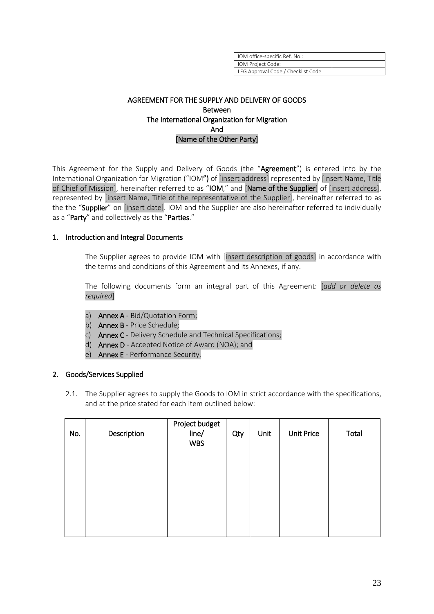| IOM office-specific Ref. No.:      |  |
|------------------------------------|--|
| IOM Project Code:                  |  |
| LEG Approval Code / Checklist Code |  |

### AGREEMENT FOR THE SUPPLY AND DELIVERY OF GOODS Between The International Organization for Migration And [Name of the Other Party]

This Agreement for the Supply and Delivery of Goods (the "Agreement") is entered into by the International Organization for Migration ("IOM") of [insert address] represented by [insert Name, Title of Chief of Mission], hereinafter referred to as "IOM," and [Name of the Supplier] of [insert address], represented by [insert Name, Title of the representative of the Supplier], hereinafter referred to as the the "Supplier" on [insert date]. IOM and the Supplier are also hereinafter referred to individually as a "Party" and collectively as the "Parties."

### 1. Introduction and Integral Documents

The Supplier agrees to provide IOM with [insert description of goods] in accordance with the terms and conditions of this Agreement and its Annexes, if any.

The following documents form an integral part of this Agreement: [*add or delete as required*]

- a) Annex A Bid/Quotation Form;
- b) **Annex B** Price Schedule;
- c) Annex C Delivery Schedule and Technical Specifications;
- d) Annex D Accepted Notice of Award (NOA); and
- e) Annex E Performance Security.

### 2. Goods/Services Supplied

2.1. The Supplier agrees to supply the Goods to IOM in strict accordance with the specifications, and at the price stated for each item outlined below:

| No. | Description | Project budget<br>line/<br><b>WBS</b> | Qty | Unit | <b>Unit Price</b> | Total |
|-----|-------------|---------------------------------------|-----|------|-------------------|-------|
|     |             |                                       |     |      |                   |       |
|     |             |                                       |     |      |                   |       |
|     |             |                                       |     |      |                   |       |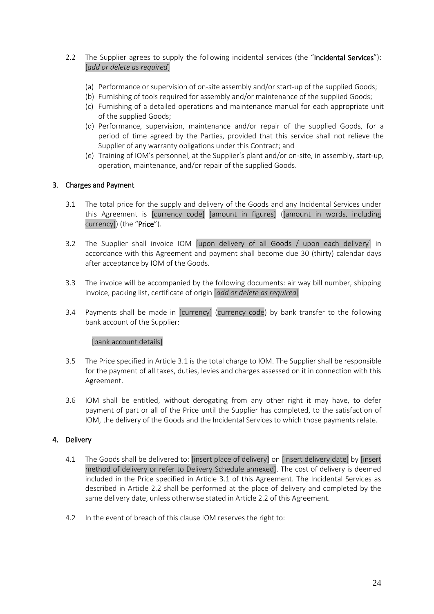- 2.2 The Supplier agrees to supply the following incidental services (the "Incidental Services"): [*add or delete as required*]
	- (a) Performance or supervision of on-site assembly and/or start-up of the supplied Goods;
	- (b) Furnishing of tools required for assembly and/or maintenance of the supplied Goods;
	- (c) Furnishing of a detailed operations and maintenance manual for each appropriate unit of the supplied Goods;
	- (d) Performance, supervision, maintenance and/or repair of the supplied Goods, for a period of time agreed by the Parties, provided that this service shall not relieve the Supplier of any warranty obligations under this Contract; and
	- (e) Training of IOM's personnel, at the Supplier's plant and/or on-site, in assembly, start-up, operation, maintenance, and/or repair of the supplied Goods.

### 3. Charges and Payment

- 3.1 The total price for the supply and delivery of the Goods and any Incidental Services under this Agreement is [currency code] [amount in figures] ([amount in words, including currency]) (the "Price").
- 3.2 The Supplier shall invoice IOM [upon delivery of all Goods / upon each delivery] in accordance with this Agreement and payment shall become due 30 (thirty) calendar days after acceptance by IOM of the Goods.
- 3.3 The invoice will be accompanied by the following documents: air way bill number, shipping invoice, packing list, certificate of origin [*add or delete as required*]
- 3.4 Payments shall be made in [currency] (currency code) by bank transfer to the following bank account of the Supplier:

### [bank account details]

- 3.5 The Price specified in Article 3.1 is the total charge to IOM. The Supplier shall be responsible for the payment of all taxes, duties, levies and charges assessed on it in connection with this Agreement.
- 3.6 IOM shall be entitled, without derogating from any other right it may have, to defer payment of part or all of the Price until the Supplier has completed, to the satisfaction of IOM, the delivery of the Goods and the Incidental Services to which those payments relate.

### 4. Delivery

- 4.1 The Goods shall be delivered to: [insert place of delivery] on [insert delivery date] by [insert method of delivery or refer to Delivery Schedule annexed]. The cost of delivery is deemed included in the Price specified in Article 3.1 of this Agreement. The Incidental Services as described in Article 2.2 shall be performed at the place of delivery and completed by the same delivery date, unless otherwise stated in Article 2.2 of this Agreement.
- 4.2 In the event of breach of this clause IOM reserves the right to: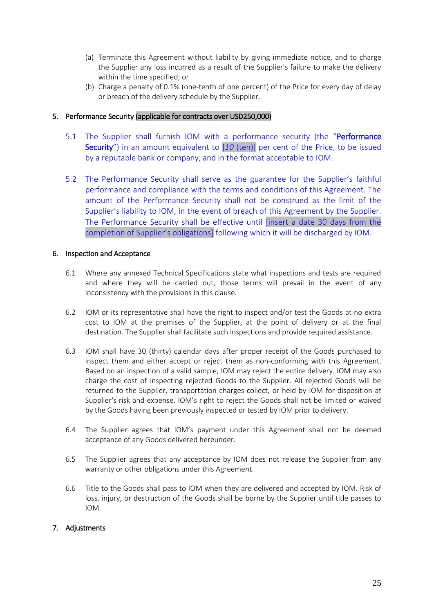- (a) Terminate this Agreement without liability by giving immediate notice, and to charge the Supplier any loss incurred as a result of the Supplier's failure to make the delivery within the time specified; or
- (b) Charge a penalty of 0.1% (one-tenth of one percent) of the Price for every day of delay or breach of the delivery schedule by the Supplier.

### 5. Performance Security (applicable for contracts over USD250,000)

- 5.1 The Supplier shall furnish IOM with a performance security (the "Performance" Security") in an amount equivalent to [*10* (ten)] per cent of the Price, to be issued by a reputable bank or company, and in the format acceptable to IOM.
- 5.2 The Performance Security shall serve as the guarantee for the Supplier's faithful performance and compliance with the terms and conditions of this Agreement. The amount of the Performance Security shall not be construed as the limit of the Supplier's liability to IOM, in the event of breach of this Agreement by the Supplier. The Performance Security shall be effective until [insert a date 30 days from the completion of Supplier's obligations] following which it will be discharged by IOM.

### 6. Inspection and Acceptance

- 6.1 Where any annexed Technical Specifications state what inspections and tests are required and where they will be carried out, those terms will prevail in the event of any inconsistency with the provisions in this clause.
- 6.2 IOM or its representative shall have the right to inspect and/or test the Goods at no extra cost to IOM at the premises of the Supplier, at the point of delivery or at the final destination. The Supplier shall facilitate such inspections and provide required assistance.
- 6.3 IOM shall have 30 (thirty) calendar days after proper receipt of the Goods purchased to inspect them and either accept or reject them as non-conforming with this Agreement. Based on an inspection of a valid sample, IOM may reject the entire delivery. IOM may also charge the cost of inspecting rejected Goods to the Supplier. All rejected Goods will be returned to the Supplier, transportation charges collect, or held by IOM for disposition at Supplier's risk and expense. IOM's right to reject the Goods shall not be limited or waived by the Goods having been previously inspected or tested by IOM prior to delivery.
- 6.4 The Supplier agrees that IOM's payment under this Agreement shall not be deemed acceptance of any Goods delivered hereunder.
- 6.5 The Supplier agrees that any acceptance by IOM does not release the Supplier from any warranty or other obligations under this Agreement.
- 6.6 Title to the Goods shall pass to IOM when they are delivered and accepted by IOM. Risk of loss, injury, or destruction of the Goods shall be borne by the Supplier until title passes to IOM.

### 7. Adjustments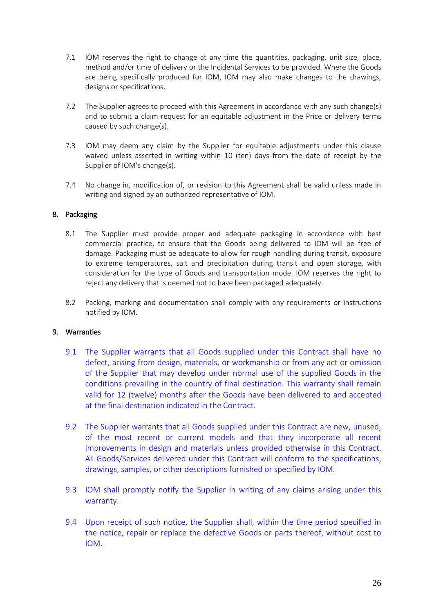- 7.1 IOM reserves the right to change at any time the quantities, packaging, unit size, place, method and/or time of delivery or the Incidental Services to be provided. Where the Goods are being specifically produced for IOM, IOM may also make changes to the drawings, designs or specifications.
- 7.2 The Supplier agrees to proceed with this Agreement in accordance with any such change(s) and to submit a claim request for an equitable adjustment in the Price or delivery terms caused by such change(s).
- 7.3 IOM may deem any claim by the Supplier for equitable adjustments under this clause waived unless asserted in writing within 10 (ten) days from the date of receipt by the Supplier of IOM's change(s).
- 7.4 No change in, modification of, or revision to this Agreement shall be valid unless made in writing and signed by an authorized representative of IOM.

### 8. Packaging

- 8.1 The Supplier must provide proper and adequate packaging in accordance with best commercial practice, to ensure that the Goods being delivered to IOM will be free of damage. Packaging must be adequate to allow for rough handling during transit, exposure to extreme temperatures, salt and precipitation during transit and open storage, with consideration for the type of Goods and transportation mode. IOM reserves the right to reject any delivery that is deemed not to have been packaged adequately.
- 8.2 Packing, marking and documentation shall comply with any requirements or instructions notified by IOM.

### 9. Warranties

- 9.1 The Supplier warrants that all Goods supplied under this Contract shall have no defect, arising from design, materials, or workmanship or from any act or omission of the Supplier that may develop under normal use of the supplied Goods in the conditions prevailing in the country of final destination. This warranty shall remain valid for 12 (twelve) months after the Goods have been delivered to and accepted at the final destination indicated in the Contract.
- 9.2 The Supplier warrants that all Goods supplied under this Contract are new, unused, of the most recent or current models and that they incorporate all recent improvements in design and materials unless provided otherwise in this Contract. All Goods/Services delivered under this Contract will conform to the specifications, drawings, samples, or other descriptions furnished or specified by IOM.
- 9.3 IOM shall promptly notify the Supplier in writing of any claims arising under this warranty.
- 9.4 Upon receipt of such notice, the Supplier shall, within the time period specified in the notice, repair or replace the defective Goods or parts thereof, without cost to IOM.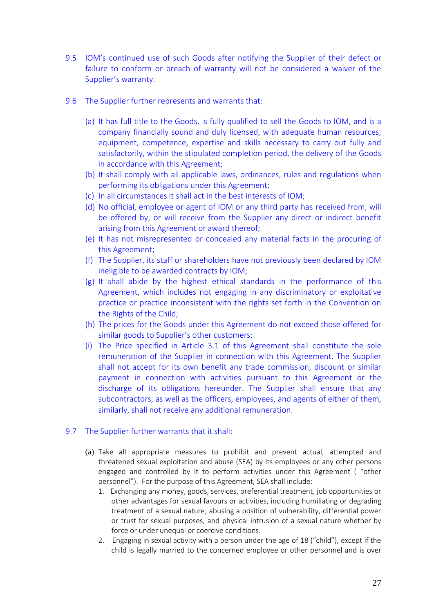- 9.5 IOM's continued use of such Goods after notifying the Supplier of their defect or failure to conform or breach of warranty will not be considered a waiver of the Supplier's warranty.
- 9.6 The Supplier further represents and warrants that:
	- (a) It has full title to the Goods, is fully qualified to sell the Goods to IOM, and is a company financially sound and duly licensed, with adequate human resources, equipment, competence, expertise and skills necessary to carry out fully and satisfactorily, within the stipulated completion period, the delivery of the Goods in accordance with this Agreement;
	- (b) It shall comply with all applicable laws, ordinances, rules and regulations when performing its obligations under this Agreement;
	- (c) In all circumstances it shall act in the best interests of IOM;
	- (d) No official, employee or agent of IOM or any third party has received from, will be offered by, or will receive from the Supplier any direct or indirect benefit arising from this Agreement or award thereof;
	- (e) It has not misrepresented or concealed any material facts in the procuring of this Agreement;
	- (f) The Supplier, its staff or shareholders have not previously been declared by IOM ineligible to be awarded contracts by IOM;
	- (g) It shall abide by the highest ethical standards in the performance of this Agreement, which includes not engaging in any discriminatory or exploitative practice or practice inconsistent with the rights set forth in the Convention on the Rights of the Child;
	- (h) The prices for the Goods under this Agreement do not exceed those offered for similar goods to Supplier's other customers;
	- (i) The Price specified in Article 3.1 of this Agreement shall constitute the sole remuneration of the Supplier in connection with this Agreement. The Supplier shall not accept for its own benefit any trade commission, discount or similar payment in connection with activities pursuant to this Agreement or the discharge of its obligations hereunder. The Supplier shall ensure that any subcontractors, as well as the officers, employees, and agents of either of them, similarly, shall not receive any additional remuneration.

## 9.7 The Supplier further warrants that it shall:

- (a) Take all appropriate measures to prohibit and prevent actual, attempted and threatened sexual exploitation and abuse (SEA) by its employees or any other persons engaged and controlled by it to perform activities under this Agreement ( "other personnel"). For the purpose of this Agreement, SEA shall include:
	- 1. Exchanging any money, goods, services, preferential treatment, job opportunities or other advantages for sexual favours or activities, including humiliating or degrading treatment of a sexual nature; abusing a position of vulnerability, differential power or trust for sexual purposes, and physical intrusion of a sexual nature whether by force or under unequal or coercive conditions.
	- 2. Engaging in sexual activity with a person under the age of 18 ("child"), except if the child is legally married to the concerned employee or other personnel and is over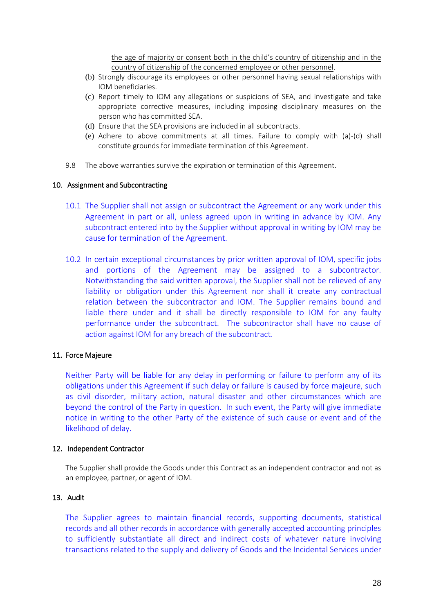the age of majority or consent both in the child's country of citizenship and in the country of citizenship of the concerned employee or other personnel.

- (b) Strongly discourage its employees or other personnel having sexual relationships with IOM beneficiaries.
- (c) Report timely to IOM any allegations or suspicions of SEA, and investigate and take appropriate corrective measures, including imposing disciplinary measures on the person who has committed SEA.
- (d) Ensure that the SEA provisions are included in all subcontracts.
- (e) Adhere to above commitments at all times. Failure to comply with (a)-(d) shall constitute grounds for immediate termination of this Agreement.
- 9.8 The above warranties survive the expiration or termination of this Agreement.

#### 10. Assignment and Subcontracting

- 10.1 The Supplier shall not assign or subcontract the Agreement or any work under this Agreement in part or all, unless agreed upon in writing in advance by IOM. Any subcontract entered into by the Supplier without approval in writing by IOM may be cause for termination of the Agreement.
- 10.2 In certain exceptional circumstances by prior written approval of IOM, specific jobs and portions of the Agreement may be assigned to a subcontractor. Notwithstanding the said written approval, the Supplier shall not be relieved of any liability or obligation under this Agreement nor shall it create any contractual relation between the subcontractor and IOM. The Supplier remains bound and liable there under and it shall be directly responsible to IOM for any faulty performance under the subcontract. The subcontractor shall have no cause of action against IOM for any breach of the subcontract.

### 11. Force Majeure

Neither Party will be liable for any delay in performing or failure to perform any of its obligations under this Agreement if such delay or failure is caused by force majeure, such as civil disorder, military action, natural disaster and other circumstances which are beyond the control of the Party in question. In such event, the Party will give immediate notice in writing to the other Party of the existence of such cause or event and of the likelihood of delay.

#### 12. Independent Contractor

The Supplier shall provide the Goods under this Contract as an independent contractor and not as an employee, partner, or agent of IOM.

#### 13. Audit

The Supplier agrees to maintain financial records, supporting documents, statistical records and all other records in accordance with generally accepted accounting principles to sufficiently substantiate all direct and indirect costs of whatever nature involving transactions related to the supply and delivery of Goods and the Incidental Services under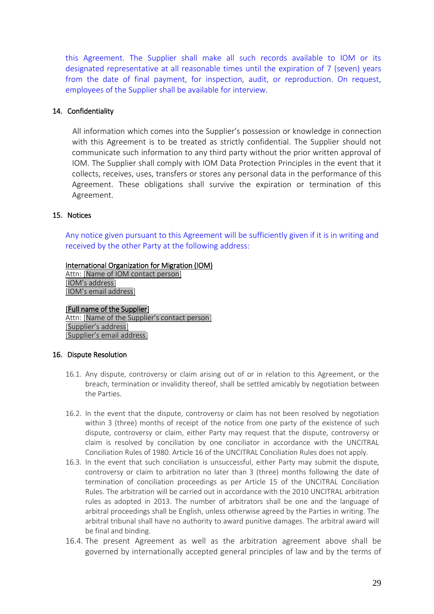this Agreement. The Supplier shall make all such records available to IOM or its designated representative at all reasonable times until the expiration of 7 (seven) years from the date of final payment, for inspection, audit, or reproduction. On request, employees of the Supplier shall be available for interview.

### 14. Confidentiality

All information which comes into the Supplier's possession or knowledge in connection with this Agreement is to be treated as strictly confidential. The Supplier should not communicate such information to any third party without the prior written approval of IOM. The Supplier shall comply with IOM Data Protection Principles in the event that it collects, receives, uses, transfers or stores any personal data in the performance of this Agreement. These obligations shall survive the expiration or termination of this Agreement.

### 15. Notices

Any notice given pursuant to this Agreement will be sufficiently given if it is in writing and received by the other Party at the following address:

### International Organization for Migration (IOM)

Attn: [Name of IOM contact person] [IOM's address] [IOM's email address]

### [Full name of the Supplier]

Attn: [Name of the Supplier's contact person] [Supplier's address] [Supplier's email address]

### 16. Dispute Resolution

- 16.1. Any dispute, controversy or claim arising out of or in relation to this Agreement, or the breach, termination or invalidity thereof, shall be settled amicably by negotiation between the Parties.
- 16.2. In the event that the dispute, controversy or claim has not been resolved by negotiation within 3 (three) months of receipt of the notice from one party of the existence of such dispute, controversy or claim, either Party may request that the dispute, controversy or claim is resolved by conciliation by one conciliator in accordance with the UNCITRAL Conciliation Rules of 1980. Article 16 of the UNCITRAL Conciliation Rules does not apply.
- 16.3. In the event that such conciliation is unsuccessful, either Party may submit the dispute, controversy or claim to arbitration no later than 3 (three) months following the date of termination of conciliation proceedings as per Article 15 of the UNCITRAL Conciliation Rules. The arbitration will be carried out in accordance with the 2010 UNCITRAL arbitration rules as adopted in 2013. The number of arbitrators shall be one and the language of arbitral proceedings shall be English, unless otherwise agreed by the Parties in writing. The arbitral tribunal shall have no authority to award punitive damages. The arbitral award will be final and binding.
- 16.4. The present Agreement as well as the arbitration agreement above shall be governed by internationally accepted general principles of law and by the terms of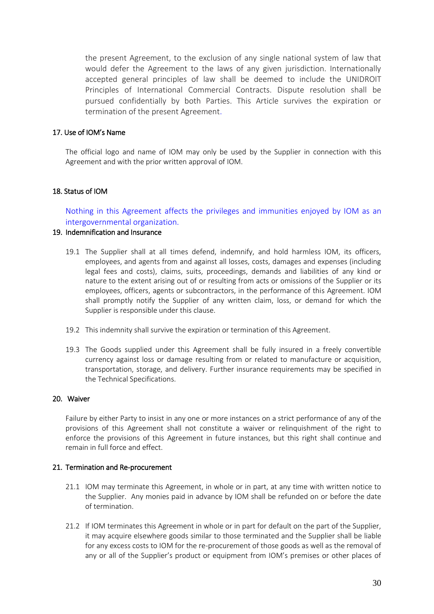the present Agreement, to the exclusion of any single national system of law that would defer the Agreement to the laws of any given jurisdiction. Internationally accepted general principles of law shall be deemed to include the UNIDROIT Principles of International Commercial Contracts. Dispute resolution shall be pursued confidentially by both Parties. This Article survives the expiration or termination of the present Agreement.

### 17. Use of IOM's Name

The official logo and name of IOM may only be used by the Supplier in connection with this Agreement and with the prior written approval of IOM.

### 18. Status of IOM

Nothing in this Agreement affects the privileges and immunities enjoyed by IOM as an intergovernmental organization.

### 19. Indemnification and Insurance

- 19.1 The Supplier shall at all times defend, indemnify, and hold harmless IOM, its officers, employees, and agents from and against all losses, costs, damages and expenses (including legal fees and costs), claims, suits, proceedings, demands and liabilities of any kind or nature to the extent arising out of or resulting from acts or omissions of the Supplier or its employees, officers, agents or subcontractors, in the performance of this Agreement. IOM shall promptly notify the Supplier of any written claim, loss, or demand for which the Supplier is responsible under this clause.
- 19.2 This indemnity shall survive the expiration or termination of this Agreement.
- 19.3 The Goods supplied under this Agreement shall be fully insured in a freely convertible currency against loss or damage resulting from or related to manufacture or acquisition, transportation, storage, and delivery. Further insurance requirements may be specified in the Technical Specifications.

### 20. Waiver

Failure by either Party to insist in any one or more instances on a strict performance of any of the provisions of this Agreement shall not constitute a waiver or relinquishment of the right to enforce the provisions of this Agreement in future instances, but this right shall continue and remain in full force and effect.

### 21. Termination and Re-procurement

- 21.1 IOM may terminate this Agreement, in whole or in part, at any time with written notice to the Supplier. Any monies paid in advance by IOM shall be refunded on or before the date of termination.
- 21.2 If IOM terminates this Agreement in whole or in part for default on the part of the Supplier, it may acquire elsewhere goods similar to those terminated and the Supplier shall be liable for any excess costs to IOM for the re-procurement of those goods as well as the removal of any or all of the Supplier's product or equipment from IOM's premises or other places of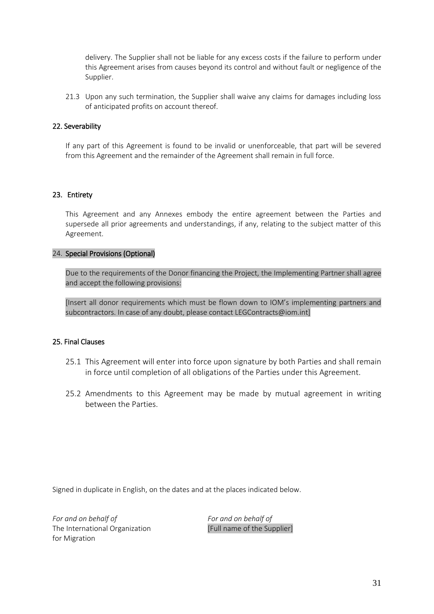delivery. The Supplier shall not be liable for any excess costs if the failure to perform under this Agreement arises from causes beyond its control and without fault or negligence of the Supplier.

21.3 Upon any such termination, the Supplier shall waive any claims for damages including loss of anticipated profits on account thereof.

### 22. Severability

If any part of this Agreement is found to be invalid or unenforceable, that part will be severed from this Agreement and the remainder of the Agreement shall remain in full force.

### 23. Entirety

This Agreement and any Annexes embody the entire agreement between the Parties and supersede all prior agreements and understandings, if any, relating to the subject matter of this Agreement.

### 24. Special Provisions (Optional)

Due to the requirements of the Donor financing the Project, the Implementing Partner shall agree and accept the following provisions:

[Insert all donor requirements which must be flown down to IOM's implementing partners and subcontractors. In case of any doubt, please contact LEGContracts@iom.int]

### 25. Final Clauses

- 25.1 This Agreement will enter into force upon signature by both Parties and shall remain in force until completion of all obligations of the Parties under this Agreement.
- 25.2 Amendments to this Agreement may be made by mutual agreement in writing between the Parties.

Signed in duplicate in English, on the dates and at the places indicated below.

*For and on behalf of* The International Organization for Migration

*For and on behalf of* [Full name of the Supplier]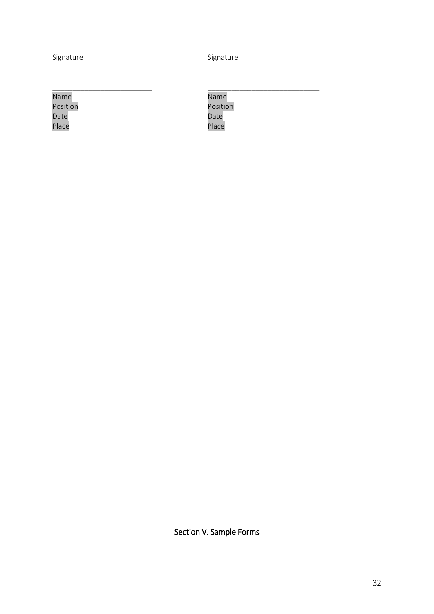\_\_\_\_\_\_\_\_\_\_\_\_\_\_\_\_\_\_\_\_\_\_\_\_\_

Signature Signature Signature

Name Position Date Place

\_\_\_\_\_\_\_\_\_\_\_\_\_\_\_\_\_\_\_\_\_\_\_\_\_\_\_\_ Name Position Date Place

<span id="page-31-0"></span>Section V. Sample Forms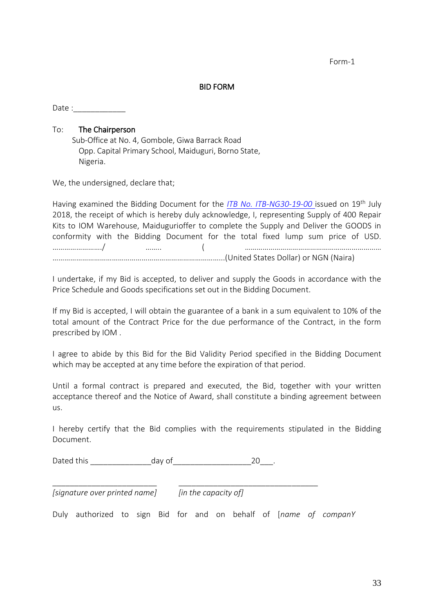Form-1

### BID FORM

Date :

### To: The Chairperson

Sub-Office at No. 4, Gombole, Giwa Barrack Road Opp. Capital Primary School, Maiduguri, Borno State, Nigeria.

We, the undersigned, declare that;

Having examined the Bidding Document for the *ITB No. ITB-NG30-19-00* issued on 19th July 2018, the receipt of which is hereby duly acknowledge, I, representing Supply of 400 Repair Kits to IOM Warehouse, Maidugurioffer to complete the Supply and Deliver the GOODS in conformity with the Bidding Document for the total fixed lump sum price of USD. ……………………./ …….. ( …………………………………………………………… …………………………………………………………………………...(United States Dollar) or NGN (Naira)

I undertake, if my Bid is accepted, to deliver and supply the Goods in accordance with the Price Schedule and Goods specifications set out in the Bidding Document.

If my Bid is accepted, I will obtain the guarantee of a bank in a sum equivalent to 10% of the total amount of the Contract Price for the due performance of the Contract, in the form prescribed by IOM .

I agree to abide by this Bid for the Bid Validity Period specified in the Bidding Document which may be accepted at any time before the expiration of that period.

Until a formal contract is prepared and executed, the Bid, together with your written acceptance thereof and the Notice of Award, shall constitute a binding agreement between us.

I hereby certify that the Bid complies with the requirements stipulated in the Bidding Document.

Dated this \_\_\_\_\_\_\_\_\_\_\_\_\_\_day of\_\_\_\_\_\_\_\_\_\_\_\_\_\_\_\_\_\_20\_\_\_.

*[signature over printed name] [in the capacity of]*

Duly authorized to sign Bid for and on behalf of [*name of companY*

\_\_\_\_\_\_\_\_\_\_\_\_\_\_\_\_\_\_\_\_\_\_\_\_ \_\_\_\_\_\_\_\_\_\_\_\_\_\_\_\_\_\_\_\_\_\_\_\_\_\_\_\_\_\_\_\_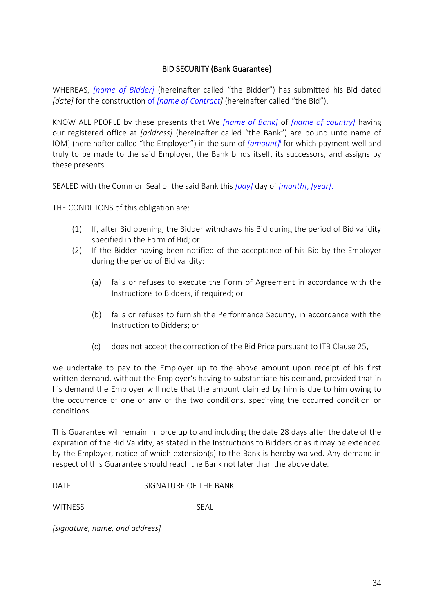## BID SECURITY (Bank Guarantee)

WHEREAS, *[name of Bidder]* (hereinafter called "the Bidder") has submitted his Bid dated *[date]* for the construction of *[name of Contract]* (hereinafter called "the Bid").

KNOW ALL PEOPLE by these presents that We *[name of Bank]* of *[name of country]* having our registered office at *[address]* (hereinafter called "the Bank") are bound unto name of IOM] (hereinafter called "the Employer") in the sum of *[amount]*<sup>i</sup> for which payment well and truly to be made to the said Employer, the Bank binds itself, its successors, and assigns by these presents.

SEALED with the Common Seal of the said Bank this *[day]* day of *[month]*, *[year]*.

THE CONDITIONS of this obligation are:

- (1) If, after Bid opening, the Bidder withdraws his Bid during the period of Bid validity specified in the Form of Bid; or
- (2) If the Bidder having been notified of the acceptance of his Bid by the Employer during the period of Bid validity:
	- (a) fails or refuses to execute the Form of Agreement in accordance with the Instructions to Bidders, if required; or
	- (b) fails or refuses to furnish the Performance Security, in accordance with the Instruction to Bidders; or
	- (c) does not accept the correction of the Bid Price pursuant to ITB Clause 25,

we undertake to pay to the Employer up to the above amount upon receipt of his first written demand, without the Employer's having to substantiate his demand, provided that in his demand the Employer will note that the amount claimed by him is due to him owing to the occurrence of one or any of the two conditions, specifying the occurred condition or conditions.

This Guarantee will remain in force up to and including the date 28 days after the date of the expiration of the Bid Validity, as stated in the Instructions to Bidders or as it may be extended by the Employer, notice of which extension(s) to the Bank is hereby waived. Any demand in respect of this Guarantee should reach the Bank not later than the above date.

| <b>DATE</b>    | SIGNATURE OF THE BANK |  |
|----------------|-----------------------|--|
|                |                       |  |
| <b>WITNESS</b> | -<br>7 EAL            |  |

*[signature, name, and address]*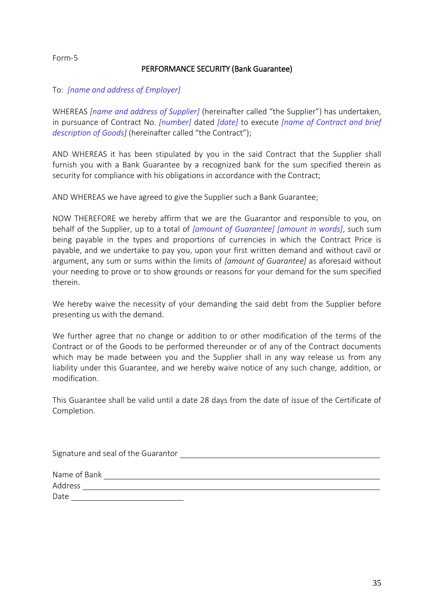### Form-5

## PERFORMANCE SECURITY (Bank Guarantee)

### To: *[name and address of Employer]*

WHEREAS *[name and address of Supplier]* (hereinafter called "the Supplier") has undertaken, in pursuance of Contract No. *[number]* dated *[date]* to execute *[name of Contract and brief description of Goods]* (hereinafter called "the Contract");

AND WHEREAS it has been stipulated by you in the said Contract that the Supplier shall furnish you with a Bank Guarantee by a recognized bank for the sum specified therein as security for compliance with his obligations in accordance with the Contract;

AND WHEREAS we have agreed to give the Supplier such a Bank Guarantee;

NOW THEREFORE we hereby affirm that we are the Guarantor and responsible to you, on behalf of the Supplier, up to a total of *[amount of Guarantee] [amount in words]*, such sum being payable in the types and proportions of currencies in which the Contract Price is payable, and we undertake to pay you, upon your first written demand and without cavil or argument, any sum or sums within the limits of *[amount of Guarantee]* as aforesaid without your needing to prove or to show grounds or reasons for your demand for the sum specified therein.

We hereby waive the necessity of your demanding the said debt from the Supplier before presenting us with the demand.

We further agree that no change or addition to or other modification of the terms of the Contract or of the Goods to be performed thereunder or of any of the Contract documents which may be made between you and the Supplier shall in any way release us from any liability under this Guarantee, and we hereby waive notice of any such change, addition, or modification.

This Guarantee shall be valid until a date 28 days from the date of issue of the Certificate of Completion.

Signature and seal of the Guarantor

| Name of Bank |  |  |
|--------------|--|--|
| Address      |  |  |
| Date         |  |  |